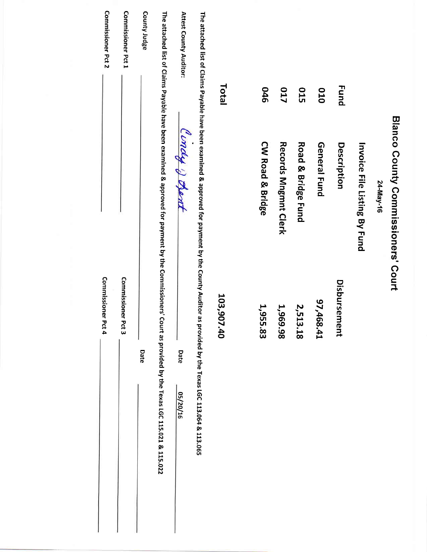| Commissioner Pct 2  | Commissioner Pct 1 | County Judge<br>The attached list of Claims Payable have been examined & approved for payment by the Commissioners' Court as provided by the Texas LGC 115.021 & 115.022 | Attest County Auditor: | The attached list of Claims Payable have been examined & approved for payment by the County Auditor as provided by the Texas LGC 113.065 |            |                  |                      |                    |              |              |                              |           |                                    |
|---------------------|--------------------|--------------------------------------------------------------------------------------------------------------------------------------------------------------------------|------------------------|------------------------------------------------------------------------------------------------------------------------------------------|------------|------------------|----------------------|--------------------|--------------|--------------|------------------------------|-----------|------------------------------------|
|                     |                    |                                                                                                                                                                          |                        |                                                                                                                                          |            |                  |                      |                    |              |              |                              |           |                                    |
|                     |                    |                                                                                                                                                                          |                        |                                                                                                                                          | Total      | 946              | <b>017</b>           | <b>015</b>         | 010          | <b>Fund</b>  |                              |           |                                    |
|                     |                    |                                                                                                                                                                          |                        |                                                                                                                                          |            |                  |                      |                    |              |              |                              |           | Blanco County Commissioners' Court |
|                     |                    |                                                                                                                                                                          | Cindy & Dent           |                                                                                                                                          |            | CW Road & Bridge |                      |                    | General Fund | Description  |                              |           |                                    |
|                     |                    |                                                                                                                                                                          |                        |                                                                                                                                          |            |                  | Records Mngmnt Clerk | Road & Bridge Fund |              |              |                              | 24-May-16 |                                    |
|                     |                    |                                                                                                                                                                          |                        |                                                                                                                                          |            |                  |                      |                    |              |              | Invoice File Listing By Fund |           |                                    |
|                     |                    |                                                                                                                                                                          |                        |                                                                                                                                          |            |                  |                      |                    |              |              |                              |           |                                    |
| <b>Commissioner</b> | Commissioner Pct 3 |                                                                                                                                                                          |                        |                                                                                                                                          | 103,907.40 |                  |                      |                    |              | Disbursement |                              |           |                                    |
| Pct 4               |                    |                                                                                                                                                                          |                        |                                                                                                                                          |            | 1,955.83         | 1,969.98             | 2,513.18           | 17,468.41    |              |                              |           |                                    |
|                     |                    | Date                                                                                                                                                                     | Date                   |                                                                                                                                          |            |                  |                      |                    |              |              |                              |           |                                    |
|                     |                    |                                                                                                                                                                          | 05/20/16               |                                                                                                                                          |            |                  |                      |                    |              |              |                              |           |                                    |
|                     |                    |                                                                                                                                                                          |                        |                                                                                                                                          |            |                  |                      |                    |              |              |                              |           |                                    |
|                     |                    |                                                                                                                                                                          |                        |                                                                                                                                          |            |                  |                      |                    |              |              |                              |           |                                    |
|                     |                    |                                                                                                                                                                          |                        |                                                                                                                                          |            |                  |                      |                    |              |              |                              |           |                                    |
|                     |                    |                                                                                                                                                                          |                        |                                                                                                                                          |            |                  |                      |                    |              |              |                              |           |                                    |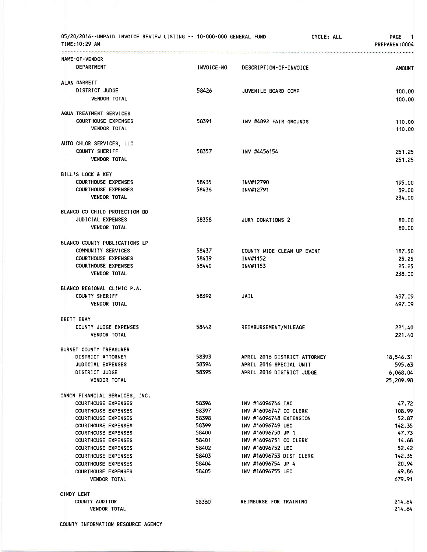| 05/20/2016--UNPAID INVOICE REVIEW LISTING -- 10-000-000 GENERAL FUND<br>TIME: 10:29 AM |                |                                             | CYCLE: ALL | <b>PAGE</b><br>-1.<br>PREPARER: 0004 |
|----------------------------------------------------------------------------------------|----------------|---------------------------------------------|------------|--------------------------------------|
| NAME-OF-VENDOR                                                                         |                |                                             |            |                                      |
| <b>DEPARTMENT</b>                                                                      | INVOICE-NO     | DESCRIPTION-OF-INVOICE                      |            | <b>AMOUNT</b>                        |
| ALAN GARRETT                                                                           |                |                                             |            |                                      |
| DISTRICT JUDGE                                                                         | 58426          | JUVENILE BOARD COMP                         |            | 100.00                               |
| <b>VENDOR TOTAL</b>                                                                    |                |                                             |            | 100.00                               |
| AQUA TREATMENT SERVICES                                                                |                |                                             |            |                                      |
| <b>COURTHOUSE EXPENSES</b>                                                             | 58391          | INV #4892 FAIR GROUNDS                      |            | 110.00                               |
| <b>VENDOR TOTAL</b>                                                                    |                |                                             |            | 110.00                               |
| AUTO CHLOR SERVICES, LLC                                                               |                |                                             |            |                                      |
| <b>COUNTY SHERIFF</b>                                                                  | 58357          | INV #4456154                                |            | 251.25                               |
| <b>VENDOR TOTAL</b>                                                                    |                |                                             |            | 251.25                               |
| BILL'S LOCK & KEY                                                                      |                |                                             |            |                                      |
| <b>COURTHOUSE EXPENSES</b>                                                             | 58435          | INV#12790                                   |            | 195.00                               |
| <b>COURTHOUSE EXPENSES</b>                                                             | 58436          | INV#12791                                   |            | 39.00                                |
| <b>VENDOR TOTAL</b>                                                                    |                |                                             |            | 234.00                               |
| BLANCO CO CHILD PROTECTION BD                                                          |                |                                             |            |                                      |
| <b>JUDICIAL EXPENSES</b>                                                               | 58358          | <b>JURY DONATIONS 2</b>                     |            | 80.00                                |
| <b>VENDOR TOTAL</b>                                                                    |                |                                             |            | 80.00                                |
| BLANCO COUNTY PUBLICATIONS LP                                                          |                |                                             |            |                                      |
| COMMUNITY SERVICES                                                                     | 58437          | COUNTY WIDE CLEAN UP EVENT                  |            | 187.50                               |
| <b>COURTHOUSE EXPENSES</b>                                                             | 58439          | INV#1152                                    |            | 25.25                                |
| <b>COURTHOUSE EXPENSES</b>                                                             | 58440          | INV#1153                                    |            | 25.25                                |
| <b>VENDOR TOTAL</b>                                                                    |                |                                             |            | 238.00                               |
| BLANCO REGIONAL CLINIC P.A.                                                            |                |                                             |            |                                      |
| <b>COUNTY SHERIFF</b>                                                                  | 58392          | <b>JAIL</b>                                 |            | 497.09                               |
| <b>VENDOR TOTAL</b>                                                                    |                |                                             |            | 497.09                               |
| <b>BRETT BRAY</b>                                                                      |                |                                             |            |                                      |
| COUNTY JUDGE EXPENSES                                                                  | 58442          | REIMBURSEMENT/MILEAGE                       |            | 221.40                               |
| <b>VENDOR TOTAL</b>                                                                    |                |                                             |            | 221.40                               |
| <b>BURNET COUNTY TREASURER</b>                                                         |                |                                             |            |                                      |
| DISTRICT ATTORNEY                                                                      | 58393          | APRIL 2016 DISTRICT ATTORNEY                |            | 18,546.31                            |
| <b>JUDICIAL EXPENSES</b>                                                               | 58394          | APRIL 2016 SPECIAL UNIT                     |            | 595.63                               |
| DISTRICT JUDGE                                                                         | 58395          | APRIL 2016 DISTRICT JUDGE                   |            | 6,068.04                             |
| <b>VENDOR TOTAL</b>                                                                    |                |                                             |            | 25,209.98                            |
| CANON FINANCIAL SERVICES, INC.                                                         |                |                                             |            |                                      |
| <b>COURTHOUSE EXPENSES</b>                                                             | 58396          | INV #16096746 TAC                           |            | 47.72                                |
| <b>COURTHOUSE EXPENSES</b>                                                             | 58397          | INV #16096747 CO CLERK                      |            | 108.99                               |
| <b>COURTHOUSE EXPENSES</b>                                                             | 58398          | INV #16096748 EXTENSION                     |            | 52.87                                |
| <b>COURTHOUSE EXPENSES</b>                                                             | 58399          | INV #16096749 LEC                           |            | 142.35                               |
| <b>COURTHOUSE EXPENSES</b>                                                             | 58400          | INV #16096750 JP 1                          |            | 47.73                                |
| <b>COURTHOUSE EXPENSES</b>                                                             | 58401<br>58402 | INV #16096751 CO CLERK<br>INV #16096752 LEC |            | 14.68<br>52.42                       |
| <b>COURTHOUSE EXPENSES</b>                                                             | 58403          |                                             |            |                                      |
| <b>COURTHOUSE EXPENSES</b>                                                             | 58404          | INV #16096753 DIST CLERK                    |            | 142.35                               |
| <b>COURTHOUSE EXPENSES</b><br><b>COURTHOUSE EXPENSES</b>                               | 58405          | INV #16096754 JP 4<br>INV #16096755 LEC     |            | 20.94<br>49.86                       |
| <b>VENDOR TOTAL</b>                                                                    |                |                                             |            | 679.91                               |
|                                                                                        |                |                                             |            |                                      |
| CINDY LENT                                                                             | 58360          |                                             |            |                                      |
| COUNTY AUDITOR<br><b>VENDOR TOTAL</b>                                                  |                | REIMBURSE FOR TRAINING                      |            | 214.64<br>214.64                     |
|                                                                                        |                |                                             |            |                                      |

COUNTY INFORMATION RESOURCE AGENCY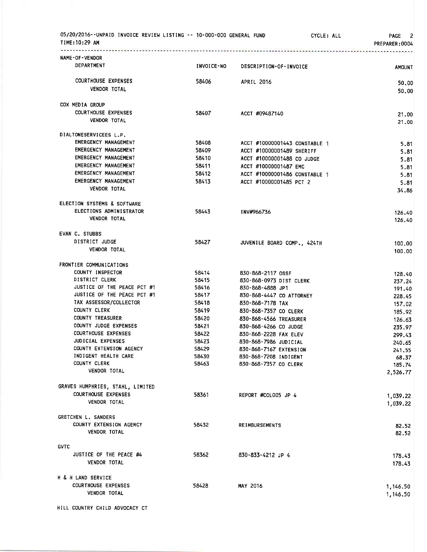| 05/20/2016--UNPAID INVOICE REVIEW LISTING -- 10-000-000 GENERAL FUND<br>TIME: 10:29 AM |                   |                                              | CYCLE: ALL | PAGE 2<br>PREPARER:0004 |
|----------------------------------------------------------------------------------------|-------------------|----------------------------------------------|------------|-------------------------|
| NAME-OF-VENDOR<br>DEPARTMENT                                                           | <b>INVOICE-NO</b> | DESCRIPTION-OF-INVOICE                       |            | <b>AMOUNT</b>           |
| <b>COURTHOUSE EXPENSES</b><br><b>VENDOR TOTAL</b>                                      | 58406             | <b>APRIL 2016</b>                            |            | 50.00<br>50.00          |
| COX MEDIA GROUP                                                                        |                   |                                              |            |                         |
| <b>COURTHOUSE EXPENSES</b><br><b>VENDOR TOTAL</b>                                      | 58407             | ACCT #09487140                               |            | 21.00<br>21,00          |
| DIALTONESERVICEES L.P.                                                                 |                   |                                              |            |                         |
| EMERGENCY MANAGEMENT                                                                   | 58408             | ACCT #10000001443 CONSTABLE 1                |            | 5.81                    |
| EMERGENCY MANAGEMENT                                                                   | 58409             | ACCT #10000001489 SHERIFF                    |            | 5.81                    |
| EMERGENCY MANAGEMENT                                                                   | 58410             | ACCT #10000001488 CO JUDGE                   |            | 5.81                    |
| EMERGENCY MANAGEMENT                                                                   | 58411             | ACCT #10000001487 EMC                        |            | 5.81                    |
| EMERGENCY MANAGEMENT                                                                   | 58412             | ACCT #10000001486 CONSTABLE 1                |            | 5.81                    |
| EMERGENCY MANAGEMENT                                                                   | 58413             | ACCT #10000001485 PCT 2                      |            | 5.81                    |
| <b>VENDOR TOTAL</b>                                                                    |                   |                                              |            | 34.86                   |
| ELECTION SYSTEMS & SOFTWARE                                                            |                   |                                              |            |                         |
| ELECTIONS ADMINISTRATOR<br><b>VENDOR TOTAL</b>                                         | 58443             | INV#966736                                   |            | 126,40<br>126.40        |
|                                                                                        |                   |                                              |            |                         |
| <b>EVAN C. STUBBS</b>                                                                  |                   |                                              |            |                         |
| DISTRICT JUDGE<br><b>VENDOR TOTAL</b>                                                  | 58427             | JUVENILE BOARD COMP., 424TH                  |            | 100.00<br>100.00        |
|                                                                                        |                   |                                              |            |                         |
| FRONTIER COMMUNICATIONS<br>COUNTY INSPECTOR                                            |                   |                                              |            |                         |
| DISTRICT CLERK                                                                         | 58414<br>58415    | 830-868-2117 OSSF<br>830-868-0973 DIST CLERK |            | 128.40                  |
| JUSTICE OF THE PEACE PCT #1                                                            | 58416             | 830-868-4888 JP1                             |            | 237.24<br>191.40        |
| JUSTICE OF THE PEACE PCT #1                                                            | 58417             | 830-868-4447 CO ATTORNEY                     |            | 228.45                  |
| TAX ASSESSOR/COLLECTOR                                                                 | 58418             | 830-868-7178 TAX                             |            | 157.02                  |
| <b>COUNTY CLERK</b>                                                                    | 58419             | 830-868-7357 CO CLERK                        |            | 185.92                  |
| <b>COUNTY TREASURER</b>                                                                | 58420             | 830-868-4566 TREASURER                       |            | 126.63                  |
| <b>COUNTY JUDGE EXPENSES</b>                                                           | 58421             | 830-868-4266 CO JUDGE                        |            | 235.97                  |
| <b>COURTHOUSE EXPENSES</b>                                                             | 58422             | 830-868-2228 FAX ELEV                        |            | 299.43                  |
| JUDICIAL EXPENSES                                                                      | 58423             | 830-868-7986 JUDICIAL                        |            | 240.65                  |
| COUNTY EXTENSION AGENCY                                                                | 58429             | 830-868-7167 EXTENSION                       |            | 241.55                  |
| INDIGENT HEALTH CARE                                                                   | 58430             | 830-868-7208 INDIGENT                        |            | 68.37                   |
| COUNTY CLERK                                                                           | 58463             | 830-868-7357 CO CLERK                        |            | 185.74                  |
| VENDOR TOTAL                                                                           |                   |                                              |            | 2,526.77                |
| GRAVES HUMPHRIES, STAHL, LIMITED                                                       |                   |                                              |            |                         |
| <b>COURTHOUSE EXPENSES</b>                                                             | 58361             | REPORT #COLOO5 JP 4                          |            | 1,039.22                |
| <b>VENDOR TOTAL</b>                                                                    |                   |                                              |            | 1,039.22                |
| GRETCHEN L. SANDERS                                                                    |                   |                                              |            |                         |
| COUNTY EXTENSION AGENCY                                                                | 58432             | <b>REIMBURSEMENTS</b>                        |            | 82.52                   |
| <b>VENDOR TOTAL</b>                                                                    |                   |                                              |            | 82.52                   |
| <b>GVTC</b>                                                                            |                   |                                              |            |                         |
| JUSTICE OF THE PEACE #4                                                                | 58362             | 830-833-4212 JP 4                            |            | 178.43                  |
| <b>VENDOR TOTAL</b>                                                                    |                   |                                              |            | 178.43                  |
| H & H LAND SERVICE                                                                     |                   |                                              |            |                         |
| <b>COURTHOUSE EXPENSES</b>                                                             | 58428             | <b>MAY 2016</b>                              |            | 1,146.50                |
| <b>VENDOR TOTAL</b>                                                                    |                   |                                              |            | 1,146.50                |
| HILL COUNTRY CHILD ADVOCACY CT                                                         |                   |                                              |            |                         |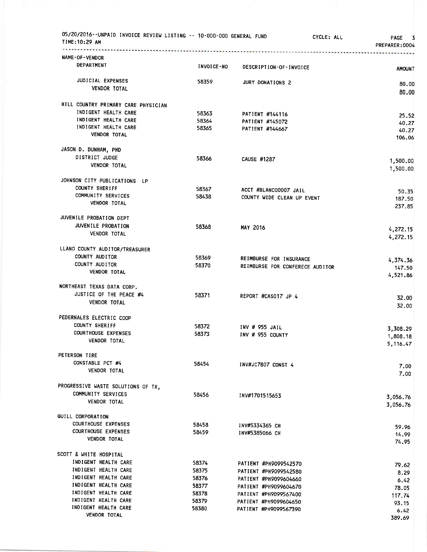| 05/20/2016--UNPAID INVOICE REVIEW LISTING -- 10-000-000 GENERAL FUND<br>TIME: 10:29 AM |                   |                                 | CYCLE: ALL | PAGE 3<br>PREPARER: 0004 |
|----------------------------------------------------------------------------------------|-------------------|---------------------------------|------------|--------------------------|
| NAME-OF-VENDOR<br>DEPARTMENT                                                           |                   |                                 |            |                          |
|                                                                                        | <b>INVOICE-NO</b> | DESCRIPTION-OF-INVOICE          |            | <b>AMOUNT</b>            |
| JUDICIAL EXPENSES                                                                      | 58359             | JURY DONATIONS 2                |            | 80.00                    |
| VENDOR TOTAL                                                                           |                   |                                 |            | 80.00                    |
| HILL COUNTRY PRIMARY CARE PHYSICIAN                                                    |                   |                                 |            |                          |
| INDIGENT HEALTH CARE                                                                   | 58363             | PATIENT #144116                 |            | 25.52                    |
| INDIGENT HEALTH CARE                                                                   | 58364             | PATIENT #145072                 |            | 40.27                    |
| INDIGENT HEALTH CARE<br><b>VENDOR TOTAL</b>                                            | 58365             | PATIENT #144667                 |            | 40.27<br>106.06          |
| JASON D. DUNHAM, PHD                                                                   |                   |                                 |            |                          |
| DISTRICT JUDGE                                                                         | 58366             | <b>CAUSE #1287</b>              |            |                          |
| <b>VENDOR TOTAL</b>                                                                    |                   |                                 |            | 1,500.00<br>1,500.00     |
|                                                                                        |                   |                                 |            |                          |
| JOHNSON CITY PUBLICATIONS LP<br><b>COUNTY SHERIFF</b>                                  |                   |                                 |            |                          |
| COMMUNITY SERVICES                                                                     | 58367<br>58438    | ACCT #BLANCO0007 JAIL           |            | 50.35                    |
| <b>VENDOR TOTAL</b>                                                                    |                   | COUNTY WIDE CLEAN UP EVENT      |            | 187.50<br>237.85         |
| JUVENILE PROBATION DEPT                                                                |                   |                                 |            |                          |
| JUVENILE PROBATION                                                                     | 58368             | <b>MAY 2016</b>                 |            |                          |
| VENDOR TOTAL                                                                           |                   |                                 |            | 4,272.15<br>4,272.15     |
| LLANO COUNTY AUDITOR/TREASURER                                                         |                   |                                 |            |                          |
| COUNTY AUDITOR                                                                         | 58369             | REIMBURSE FOR INSURANCE         |            |                          |
| COUNTY AUDITOR                                                                         | 58370             | REIMBURSE FOR CONFERECE AUDITOR |            | 4,374.36<br>147.50       |
| VENDOR TOTAL                                                                           |                   |                                 |            | 4,521.86                 |
| NORTHEAST TEXAS DATA CORP.                                                             |                   |                                 |            |                          |
| JUSTICE OF THE PEACE #4                                                                | 58371             | REPORT #CAS017 JP 4             |            | 32.00                    |
| <b>VENDOR TOTAL</b>                                                                    |                   |                                 |            | 32.00                    |
| PEDERNALES ELECTRIC COOP                                                               |                   |                                 |            |                          |
| COUNTY SHERIFF                                                                         | 58372             | INV # 955 JAIL                  |            | 3,308.29                 |
| <b>COURTHOUSE EXPENSES</b>                                                             | 58373             | INV # 955 COUNTY                |            | 1,808.18                 |
| VENDOR TOTAL                                                                           |                   |                                 |            | 5,116.47                 |
| PETERSON TIRE                                                                          |                   |                                 |            |                          |
| CONSTABLE PCT #4<br><b>VENDOR TOTAL</b>                                                | 58454             | INV#JC7807 CONST 4              |            | 7.00                     |
|                                                                                        |                   |                                 |            | 7.00                     |
| PROGRESSIVE WASTE SOLUTIONS OF TX,                                                     |                   |                                 |            |                          |
| COMMUNITY SERVICES                                                                     | 58456             | INV#1701515653                  |            | 3,056.76                 |
| <b>VENDOR TOTAL</b>                                                                    |                   |                                 |            | 3,056.76                 |
| QUILL CORPORATION                                                                      |                   |                                 |            |                          |
| <b>COURTHOUSE EXPENSES</b>                                                             | 58458             | INV#5334365 CH                  |            | 59.96                    |
| <b>COURTHOUSE EXPENSES</b><br><b>VENDOR TOTAL</b>                                      | 58459             | INV#5385066 CH                  |            | 14.99<br>74.95           |
|                                                                                        |                   |                                 |            |                          |
| SCOTT & WHITE HOSPITAL<br>INDIGENT HEALTH CARE                                         | 58374             | PATIENT #PH9099542570           |            |                          |
| INDIGENT HEALTH CARE                                                                   | 58375             | PATIENT #PH9099542580           |            | 79.62                    |
| INDIGENT HEALTH CARE                                                                   | 58376             | PATIENT #PH9099604660           |            | 8.29<br>6.42             |
| INDIGENT HEALTH CARE                                                                   | 58377             | PATIENT #PH9099604670           |            | 78.05                    |
| INDIGENT HEALTH CARE                                                                   | 58378             | PATIENT #PH9099567400           |            | 117.74                   |
| INDIGENT HEALTH CARE                                                                   | 58379             | PATIENT #PH9099604650           |            | 93.15                    |
| INDIGENT HEALTH CARE                                                                   | 58380             | PATIENT #PH9099567390           |            | 6.42                     |
| <b>VENDOR TOTAL</b>                                                                    |                   |                                 |            | 389.69                   |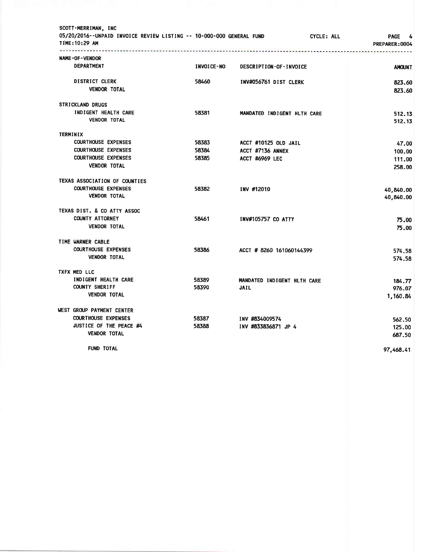|                 | SCOTT-MERRIMAN, INC<br>05/20/2016--UNPAID INVOICE REVIEW LISTING -- 10-000-000 GENERAL FUND<br><b>TIME:10:29 AM</b> |                   |                             | CYCLE: ALL | <b>PAGE</b><br>4<br>PREPARER: 0004 |
|-----------------|---------------------------------------------------------------------------------------------------------------------|-------------------|-----------------------------|------------|------------------------------------|
|                 | <u>.</u><br>NAME-OF-VENDOR                                                                                          |                   |                             |            |                                    |
|                 | <b>DEPARTMENT</b>                                                                                                   | <b>INVOICE-NO</b> | DESCRIPTION-OF-INVOICE      |            | <b>AMOUNT</b>                      |
|                 | <b>DISTRICT CLERK</b><br><b>VENDOR TOTAL</b>                                                                        | 58460             | INV#056761 DIST CLERK       |            | 823.60<br>823.60                   |
|                 | <b>STRICKLAND DRUGS</b>                                                                                             |                   |                             |            |                                    |
|                 | INDIGENT HEALTH CARE<br><b>VENDOR TOTAL</b>                                                                         | 58381             | MANDATED INDIGENT HLTH CARE |            | 512.13<br>512.13                   |
| <b>TERMINIX</b> |                                                                                                                     |                   |                             |            |                                    |
|                 | <b>COURTHOUSE EXPENSES</b>                                                                                          | 58383             | ACCT #10125 OLD JAIL        |            | 47.00                              |
|                 | <b>COURTHOUSE EXPENSES</b>                                                                                          | 58384             | ACCT #7136 ANNEX            |            | 100.00                             |
|                 | <b>COURTHOUSE EXPENSES</b>                                                                                          | 58385             | <b>ACCT #6969 LEC</b>       |            | 111.00                             |
|                 | <b>VENDOR TOTAL</b>                                                                                                 |                   |                             |            | 258.00                             |
|                 | TEXAS ASSOCIATION OF COUNTIES                                                                                       |                   |                             |            |                                    |
|                 | <b>COURTHOUSE EXPENSES</b>                                                                                          | 58382             | INV #12010                  |            | 40,840.00                          |
|                 | <b>VENDOR TOTAL</b>                                                                                                 |                   |                             |            | 40,840.00                          |
|                 | TEXAS DIST. & CO ATTY ASSOC                                                                                         |                   |                             |            |                                    |
|                 | <b>COUNTY ATTORNEY</b>                                                                                              | 58461             | <b>INV#105757 CO ATTY</b>   |            | 75.00                              |
|                 | <b>VENDOR TOTAL</b>                                                                                                 |                   |                             |            | 75.00                              |
|                 | TIME WARNER CABLE                                                                                                   |                   |                             |            |                                    |
|                 | <b>COURTHOUSE EXPENSES</b>                                                                                          | 58386             | ACCT # 8260 161060144399    |            | 574.58                             |
|                 | <b>VENDOR TOTAL</b>                                                                                                 |                   |                             |            | 574.58                             |
|                 | TXFX MED LLC                                                                                                        |                   |                             |            |                                    |
|                 | INDIGENT HEALTH CARE                                                                                                | 58389             | MANDATED INDIGENT HLTH CARE |            | 184.77                             |
|                 | <b>COUNTY SHERIFF</b>                                                                                               | 58390             | <b>JAIL</b>                 |            | 976.07                             |
|                 | <b>VENDOR TOTAL</b>                                                                                                 |                   |                             |            | 1,160.84                           |
|                 | WEST GROUP PAYMENT CENTER                                                                                           |                   |                             |            |                                    |
|                 | <b>COURTHOUSE EXPENSES</b>                                                                                          | 58387             | INV #834009574              |            | 562.50                             |
|                 | JUSTICE OF THE PEACE #4                                                                                             | 58388             | INV #833836871 JP 4         |            | 125.00                             |
|                 | <b>VENDOR TOTAL</b>                                                                                                 |                   |                             |            | 687.50                             |
|                 | <b>FUND TOTAL</b>                                                                                                   |                   |                             |            | 97,468.41                          |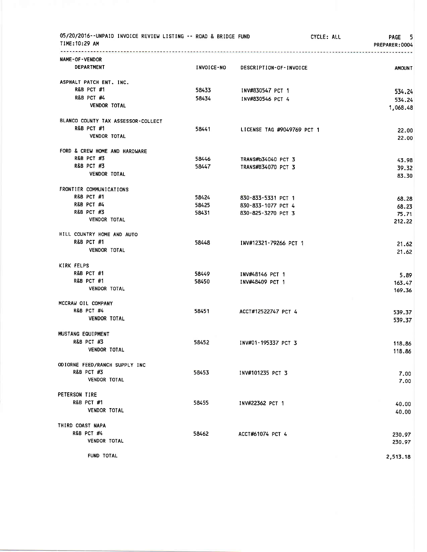| 05/20/2016--UNPAID INVOICE REVIEW LISTING -- ROAD & BRIDGE FUND<br>TIME:10:29 AM |       |                                   | CYCLE: ALL | PAGE 5<br>PREPARER: 0004 |
|----------------------------------------------------------------------------------|-------|-----------------------------------|------------|--------------------------|
| . <u>.</u><br>NAME-OF-VENDOR                                                     |       |                                   |            |                          |
| DEPARTMENT                                                                       |       | INVOICE-NO DESCRIPTION-OF-INVOICE |            | <b>AMOUNT</b>            |
| ASPHALT PATCH ENT. INC.                                                          |       |                                   |            |                          |
| <b>R&amp;B PCT #1</b>                                                            | 58433 | INV#830547 PCT 1                  |            | 534.24                   |
| <b>R&amp;B PCT #4</b>                                                            | 58434 | INV#830546 PCT 4                  |            | 534.24                   |
| <b>VENDOR TOTAL</b>                                                              |       |                                   |            | 1,068.48                 |
| BLANCO COUNTY TAX ASSESSOR-COLLECT                                               |       |                                   |            |                          |
| <b>R&amp;B PCT #1</b>                                                            | 58441 | LICENSE TAG #9049769 PCT 1        |            | 22.00                    |
| <b>VENDOR TOTAL</b>                                                              |       |                                   |            | 22.00                    |
| FORD & CREW HOME AND HARDWARE                                                    |       |                                   |            |                          |
| <b>R&amp;B PCT #3</b>                                                            | 58446 | TRANS#b34040 PCT 3                |            | 43.98                    |
| <b>R&amp;B PCT #3</b>                                                            | 58447 | TRANS#B34070 PCT 3                |            | 39.32                    |
| VENDOR TOTAL                                                                     |       |                                   |            | 83.30                    |
| FRONTIER COMMUNICATIONS                                                          |       |                                   |            |                          |
| R&B PCT #1                                                                       | 58424 | 830-833-5331 PCT 1                |            |                          |
| <b>R&amp;B PCT #4</b>                                                            | 58425 | 830-833-1077 PCT 4                |            | 68.28                    |
| R&B PCT #3                                                                       | 58431 | 830-825-3270 PCT 3                |            | 68.23                    |
| VENDOR TOTAL                                                                     |       |                                   |            | 75.71<br>212.22          |
| HILL COUNTRY HOME AND AUTO                                                       |       |                                   |            |                          |
| <b>R&amp;B PCT #1</b>                                                            | 58448 | INV#12321-79266 PCT 1             |            | 21.62                    |
| VENDOR TOTAL                                                                     |       |                                   |            | 21.62                    |
| KIRK FELPS                                                                       |       |                                   |            |                          |
| <b>R&amp;B PCT #1</b>                                                            | 58449 | INV#48146 PCT 1                   |            | 5.89                     |
| <b>R&amp;B PCT #1</b>                                                            | 58450 | INV#48409 PCT 1                   |            | 163.47                   |
| VENDOR TOTAL                                                                     |       |                                   |            | 169.36                   |
| MCCRAW OIL COMPANY                                                               |       |                                   |            |                          |
| <b>R&amp;B PCT #4</b>                                                            | 58451 | ACCT#12522747 PCT 4               |            | 539.37                   |
| <b>VENDOR TOTAL</b>                                                              |       |                                   |            | 539.37                   |
| MUSTANG EQUIPMENT                                                                |       |                                   |            |                          |
| <b>R&amp;B PCT #3</b>                                                            | 58452 | INV#01-195337 PCT 3               |            | 118.86                   |
| VENDOR TOTAL                                                                     |       |                                   |            | 118.86                   |
| ODIORNE FEED/RANCH SUPPLY INC                                                    |       |                                   |            |                          |
| <b>R&amp;B PCT #3</b>                                                            | 58453 | INV#101235 PCT 3                  |            | 7.00                     |
| <b>VENDOR TOTAL</b>                                                              |       |                                   |            | 7.00                     |
| PETERSON TIRE                                                                    |       |                                   |            |                          |
| <b>R&amp;B PCT #1</b>                                                            | 58455 |                                   |            |                          |
| <b>VENDOR TOTAL</b>                                                              |       | INV#22362 PCT 1                   |            | 40.00<br>40.00           |
| THIRD COAST NAPA                                                                 |       |                                   |            |                          |
| R&B PCT #4                                                                       |       |                                   |            |                          |
| <b>VENDOR TOTAL</b>                                                              | 58462 | ACCT#61074 PCT 4                  |            | 230.97<br>230.97         |
| FUND TOTAL                                                                       |       |                                   |            | 2,513.18                 |
|                                                                                  |       |                                   |            |                          |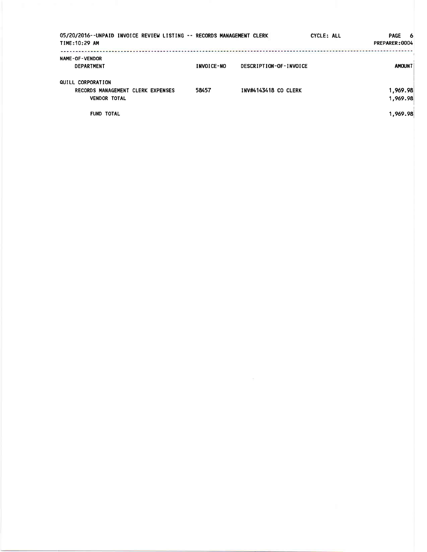| 05/20/2016--UNPAID INVOICE REVIEW LISTING -- RECORDS MANAGEMENT CLERK<br>TIME: 10:29 AM |                   |                             | <b>CYCLE: ALL</b> | PAGE 6<br>PREPARER:0004 |
|-----------------------------------------------------------------------------------------|-------------------|-----------------------------|-------------------|-------------------------|
| <b>NAME-OF-VENDOR</b><br><b>DEPARTMENT</b>                                              | <b>INVOICE-NO</b> | DESCRIPTION-OF-INVOICE      |                   | <b>AMOUNT</b>           |
| QUILL CORPORATION<br>RECORDS MANAGEMENT CLERK EXPENSES<br><b>VENDOR TOTAL</b>           | 58457             | <b>INV#4143418 CO CLERK</b> |                   | 1,969.98<br>1,969.98    |
| <b>FUND TOTAL</b>                                                                       |                   |                             |                   | 1,969.98                |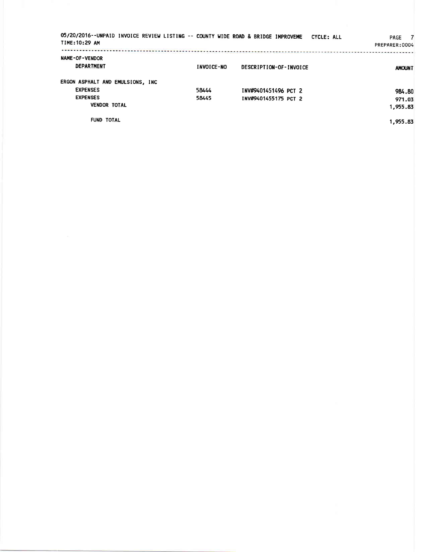| 05/20/2016--UNPAID INVOICE REVIEW LISTING -- COUNTY WIDE ROAD & BRIDGE IMPROVEME<br>TIME: 10:29 AM |            |                        | CYCLE: ALL | PAGE 7<br>PREPARER:0004 |
|----------------------------------------------------------------------------------------------------|------------|------------------------|------------|-------------------------|
| <b>NAME-OF-VENDOR</b><br><b>DEPARTMENT</b>                                                         | INVOICE-NO | DESCRIPTION-OF-INVOICE |            | <b>AMOUNT</b>           |
| ERGON ASPHALT AND EMULSIONS, INC.                                                                  |            |                        |            |                         |
| <b>EXPENSES</b>                                                                                    | 58444      | INV#9401451496 PCT 2   |            | 984.80                  |
| <b>EXPENSES</b>                                                                                    | 58445      | INV#9401455175 PCT 2   |            | 971.03                  |
| <b>VENDOR TOTAL</b>                                                                                |            |                        |            | 1,955.83                |
| <b>FUND TOTAL</b>                                                                                  |            |                        |            | 1,955.83                |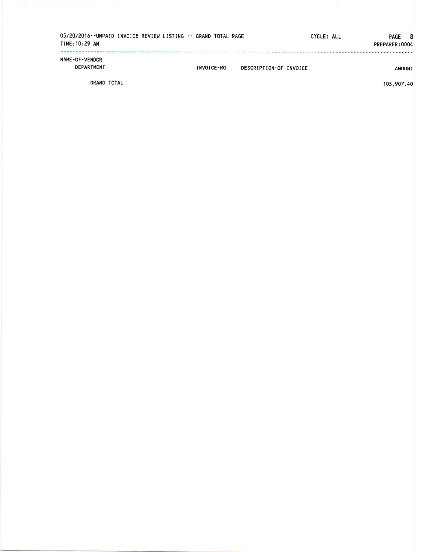| TIME:10:29 AM                       | 05/20/2016--UNPAID INVOICE REVIEW LISTING -- GRAND TOTAL PAGE |            |                        | CYCLE: ALL | PAGE 8<br>PREPARER: 0004 |
|-------------------------------------|---------------------------------------------------------------|------------|------------------------|------------|--------------------------|
| <b>NAME-OF-VENDOR</b><br>DEPARTMENT |                                                               | INVOICE-NO | DESCRIPTION-OF-INVOICE |            | <b>AMOUNT</b>            |
| GRAND TOTAL                         |                                                               |            |                        |            | 103,907.40               |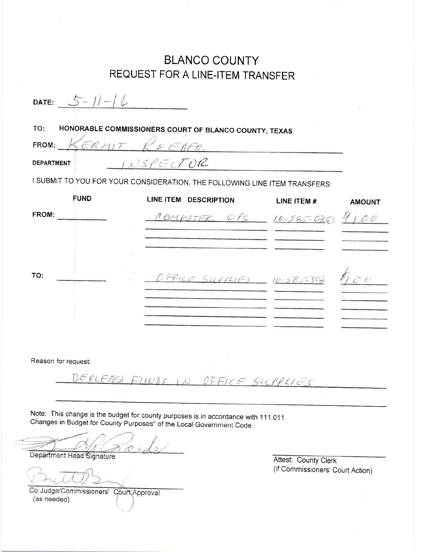## BLANCO COUNTY REQUEST FOR A LINE.ITEM TRANSFER

| DATE:             |             |                                                                            |                 |               |
|-------------------|-------------|----------------------------------------------------------------------------|-----------------|---------------|
| TO:               |             | HONORABLE COMMISSIONERS COURT OF BLANCO COUNTY, TEXAS                      |                 |               |
| FROM:             | ERM         |                                                                            |                 |               |
| <b>DEPARTMENT</b> |             | ISPECTOR                                                                   |                 |               |
|                   |             | I SUBMIT TO YOU FOR YOUR CONSIDERATION, THE FOLLOWING LINE ITEM TRANSFERS: |                 |               |
|                   | <b>FUND</b> | LINE ITEM DESCRIPTION                                                      | LINE ITEM #     | <b>AMOUNT</b> |
| FROM:             |             | COMPUTER OPS 10-585-035                                                    |                 | O             |
|                   |             |                                                                            |                 |               |
|                   |             |                                                                            |                 |               |
| TO:               |             | FFILE SUPPLIES                                                             | $10 - 385 = 30$ |               |
|                   |             |                                                                            |                 |               |
|                   |             |                                                                            |                 |               |

Reason for request:

DEPLETED FUNDS IN OFFICE SUPPLIES

Note: This change is the budget for county purposes is in accordance with 111.01l changes in Budget for county purposes" of the Local Government code.

Department Head Signature

Co Judge/Commissioners' Court Approval (as needed)

**Attest: County Clerk** (if Commissioners' Court Action)